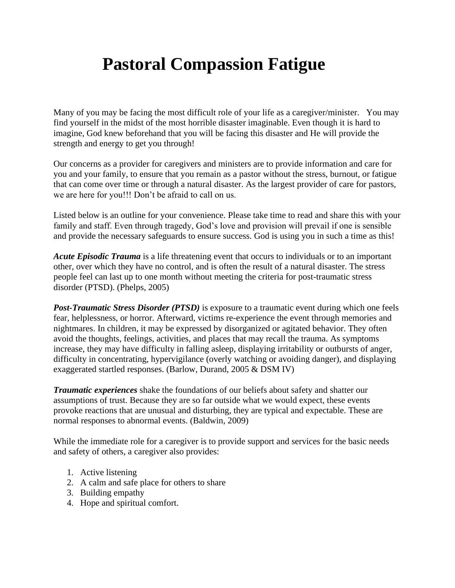# **Pastoral Compassion Fatigue**

Many of you may be facing the most difficult role of your life as a caregiver/minister. You may find yourself in the midst of the most horrible disaster imaginable. Even though it is hard to imagine, God knew beforehand that you will be facing this disaster and He will provide the strength and energy to get you through!

Our concerns as a provider for caregivers and ministers are to provide information and care for you and your family, to ensure that you remain as a pastor without the stress, burnout, or fatigue that can come over time or through a natural disaster. As the largest provider of care for pastors, we are here for you!!! Don't be afraid to call on us.

Listed below is an outline for your convenience. Please take time to read and share this with your family and staff. Even through tragedy, God's love and provision will prevail if one is sensible and provide the necessary safeguards to ensure success. God is using you in such a time as this!

*Acute Episodic Trauma* is a life threatening event that occurs to individuals or to an important other, over which they have no control, and is often the result of a natural disaster. The stress people feel can last up to one month without meeting the criteria for post-traumatic stress disorder (PTSD). (Phelps, 2005)

*Post-Traumatic Stress Disorder (PTSD)* is exposure to a traumatic event during which one feels fear, helplessness, or horror. Afterward, victims re-experience the event through memories and nightmares. In children, it may be expressed by disorganized or agitated behavior. They often avoid the thoughts, feelings, activities, and places that may recall the trauma. As symptoms increase, they may have difficulty in falling asleep, displaying irritability or outbursts of anger, difficulty in concentrating, hypervigilance (overly watching or avoiding danger), and displaying exaggerated startled responses. (Barlow, Durand, 2005 & DSM IV)

*Traumatic experiences* shake the foundations of our beliefs about safety and shatter our assumptions of trust. Because they are so far outside what we would expect, these events provoke reactions that are unusual and disturbing, they are typical and expectable. These are normal responses to abnormal events. (Baldwin, 2009)

While the immediate role for a caregiver is to provide support and services for the basic needs and safety of others, a caregiver also provides:

- 1. Active listening
- 2. A calm and safe place for others to share
- 3. Building empathy
- 4. Hope and spiritual comfort.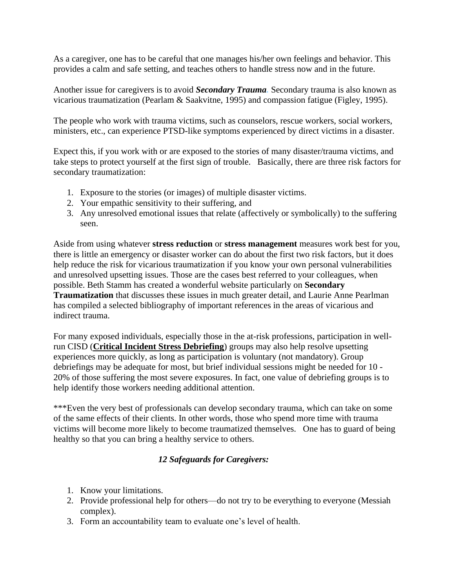As a caregiver, one has to be careful that one manages his/her own feelings and behavior. This provides a calm and safe setting, and teaches others to handle stress now and in the future.

Another issue for caregivers is to avoid *Secondary Trauma.* Secondary trauma is also known as vicarious traumatization (Pearlam & Saakvitne, 1995) and compassion fatigue (Figley, 1995).

The people who work with trauma victims, such as counselors, rescue workers, social workers, ministers, etc., can experience PTSD-like symptoms experienced by direct victims in a disaster.

Expect this, if you work with or are exposed to the stories of many disaster/trauma victims, and take steps to protect yourself at the first sign of trouble. Basically, there are three risk factors for secondary traumatization:

- 1. Exposure to the stories (or images) of multiple disaster victims.
- 2. Your empathic sensitivity to their suffering, and
- 3. Any unresolved emotional issues that relate (affectively or symbolically) to the suffering seen.

Aside from using whatever **[stress reduction](http://www.trauma-pages.com/s/strmantd.php)** or **[stress management](http://www.isma.org.uk/help.htm)** measures work best for you, there is little an emergency or disaster worker can do about the first two risk factors, but it does help reduce the risk for vicarious traumatization if you know your own personal vulnerabilities and unresolved upsetting issues. Those are the cases best referred to your colleagues, when possible. Beth Stamm has created a wonderful website particularly on **[Secondary](http://www.isu.edu/~bhstamm/TS.htm)  [Traumatization](http://www.isu.edu/~bhstamm/TS.htm)** that discusses these issues in much greater detail, and Laurie Anne Pearlman has compiled a [selected bibliography](http://www.isu.edu/~bhstamm/ts/vt.htm) of important references in the areas of vicarious and indirect trauma.

For many exposed individuals, especially those in the at-risk professions, participation in wellrun CISD (**Critical Incident Stress Debriefing**) groups may also help resolve upsetting experiences more quickly, as long as participation is voluntary (not mandatory). Group debriefings may be adequate for most, but brief individual sessions might be needed for 10 - 20% of those suffering the most severe exposures. In fact, one value of debriefing groups is to help identify those workers needing additional attention.

\*\*\*Even the very best of professionals can develop secondary trauma, which can take on some of the same effects of their clients. In other words, those who spend more time with trauma victims will become more likely to become traumatized themselves. One has to guard of being healthy so that you can bring a healthy service to others.

#### *12 Safeguards for Caregivers:*

- 1. Know your limitations.
- 2. Provide professional help for others—do not try to be everything to everyone (Messiah complex).
- 3. Form an accountability team to evaluate one's level of health.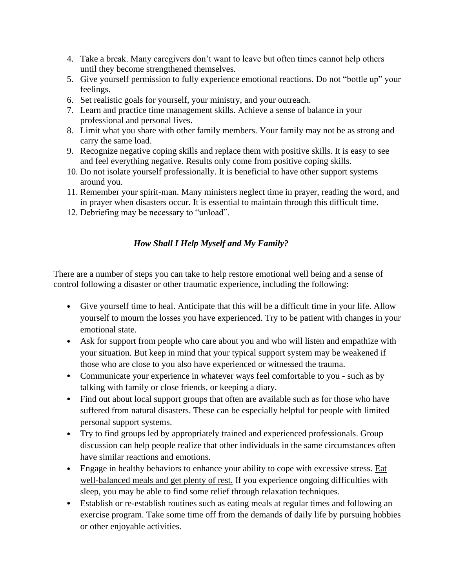- 4. Take a break. Many caregivers don't want to leave but often times cannot help others until they become strengthened themselves.
- 5. Give yourself permission to fully experience emotional reactions. Do not "bottle up" your feelings.
- 6. Set realistic goals for yourself, your ministry, and your outreach.
- 7. Learn and practice time management skills. Achieve a sense of balance in your professional and personal lives.
- 8. Limit what you share with other family members. Your family may not be as strong and carry the same load.
- 9. Recognize negative coping skills and replace them with positive skills. It is easy to see and feel everything negative. Results only come from positive coping skills.
- 10. Do not isolate yourself professionally. It is beneficial to have other support systems around you.
- 11. Remember your spirit-man. Many ministers neglect time in prayer, reading the word, and in prayer when disasters occur. It is essential to maintain through this difficult time.
- 12. Debriefing may be necessary to "unload".

# *How Shall I Help Myself and My Family?*

There are a number of steps you can take to help restore emotional well being and a sense of control following a disaster or other traumatic experience, including the following:

- Give yourself time to heal. Anticipate that this will be a difficult time in your life. Allow yourself to mourn the losses you have experienced. Try to be patient with changes in your emotional state.
- Ask for support from people who care about you and who will listen and empathize with your situation. But keep in mind that your typical support system may be weakened if those who are close to you also have experienced or witnessed the trauma.
- Communicate your experience in whatever ways feel comfortable to you such as by talking with family or close friends, or keeping a diary.
- Find out about local support groups that often are available such as for those who have suffered from natural disasters. These can be especially helpful for people with limited personal support systems.
- Try to find groups led by appropriately trained and experienced professionals. Group discussion can help people realize that other individuals in the same circumstances often have similar reactions and emotions.
- Engage in healthy behaviors to enhance your ability to cope with excessive stress. Eat well-balanced meals and get plenty of rest. If you experience ongoing difficulties with sleep, you may be able to find some relief through relaxation techniques.
- Establish or re-establish routines such as eating meals at regular times and following an exercise program. Take some time off from the demands of daily life by pursuing hobbies or other enjoyable activities.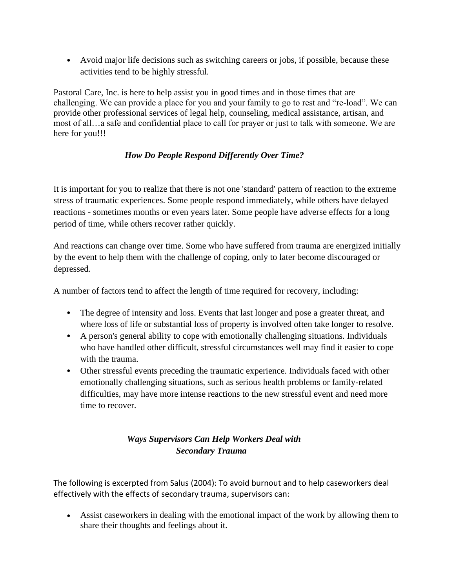• Avoid major life decisions such as switching careers or jobs, if possible, because these activities tend to be highly stressful.

Pastoral Care, Inc. is here to help assist you in good times and in those times that are challenging. We can provide a place for you and your family to go to rest and "re-load". We can provide other professional services of legal help, counseling, medical assistance, artisan, and most of all…a safe and confidential place to call for prayer or just to talk with someone. We are here for you!!!

# *How Do People Respond Differently Over Time?*

It is important for you to realize that there is not one 'standard' pattern of reaction to the extreme stress of traumatic experiences. Some people respond immediately, while others have delayed reactions - sometimes months or even years later. Some people have adverse effects for a long period of time, while others recover rather quickly.

And reactions can change over time. Some who have suffered from trauma are energized initially by the event to help them with the challenge of coping, only to later become discouraged or depressed.

A number of factors tend to affect the length of time required for recovery, including:

- The degree of intensity and loss. Events that last longer and pose a greater threat, and where loss of life or substantial loss of property is involved often take longer to resolve.
- A person's general ability to cope with emotionally challenging situations. Individuals who have handled other difficult, stressful circumstances well may find it easier to cope with the trauma.
- Other stressful events preceding the traumatic experience. Individuals faced with other emotionally challenging situations, such as serious health problems or family-related difficulties, may have more intense reactions to the new stressful event and need more time to recover.

# *Ways Supervisors Can Help Workers Deal with Secondary Trauma*

The following is excerpted from Salus (2004): To avoid burnout and to help caseworkers deal effectively with the effects of secondary trauma, supervisors can:

• Assist caseworkers in dealing with the emotional impact of the work by allowing them to share their thoughts and feelings about it.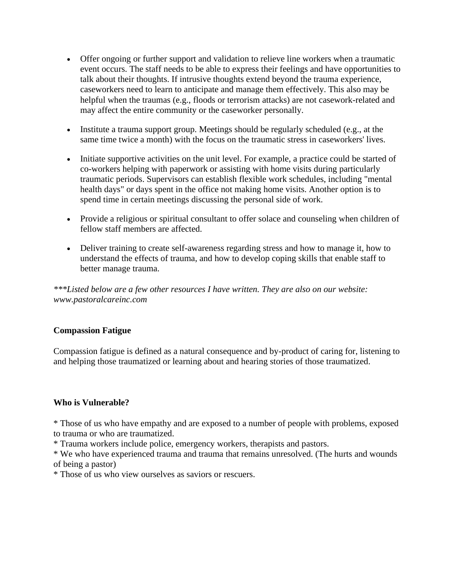- Offer ongoing or further support and validation to relieve line workers when a traumatic event occurs. The staff needs to be able to express their feelings and have opportunities to talk about their thoughts. If intrusive thoughts extend beyond the trauma experience, caseworkers need to learn to anticipate and manage them effectively. This also may be helpful when the traumas (e.g., floods or terrorism attacks) are not casework-related and may affect the entire community or the caseworker personally.
- Institute a trauma support group. Meetings should be regularly scheduled (e.g., at the same time twice a month) with the focus on the traumatic stress in caseworkers' lives.
- Initiate supportive activities on the unit level. For example, a practice could be started of co-workers helping with paperwork or assisting with home visits during particularly traumatic periods. Supervisors can establish flexible work schedules, including "mental health days" or days spent in the office not making home visits. Another option is to spend time in certain meetings discussing the personal side of work.
- Provide a religious or spiritual consultant to offer solace and counseling when children of fellow staff members are affected.
- Deliver training to create self-awareness regarding stress and how to manage it, how to understand the effects of trauma, and how to develop coping skills that enable staff to better manage trauma.

*\*\*\*Listed below are a few other resources I have written. They are also on our website: www.pastoralcareinc.com*

#### **Compassion Fatigue**

Compassion fatigue is defined as a natural consequence and by-product of caring for, listening to and helping those traumatized or learning about and hearing stories of those traumatized.

#### **Who is Vulnerable?**

\* Those of us who have empathy and are exposed to a number of people with problems, exposed to trauma or who are traumatized.

\* Trauma workers include police, emergency workers, therapists and pastors.

\* We who have experienced trauma and trauma that remains unresolved. (The hurts and wounds of being a pastor)

\* Those of us who view ourselves as saviors or rescuers.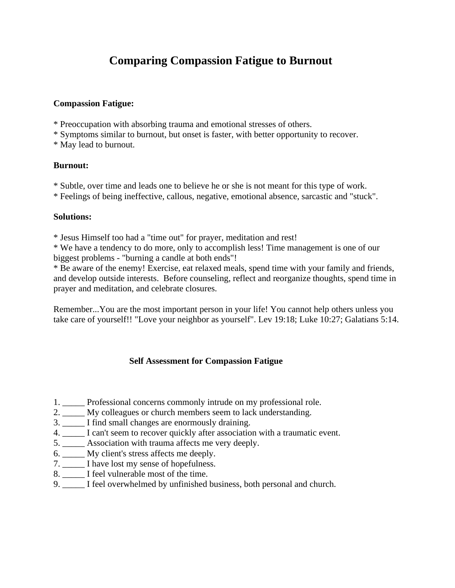# **Comparing Compassion Fatigue to Burnout**

#### **Compassion Fatigue:**

- \* Preoccupation with absorbing trauma and emotional stresses of others.
- \* Symptoms similar to burnout, but onset is faster, with better opportunity to recover.
- \* May lead to burnout.

#### **Burnout:**

- \* Subtle, over time and leads one to believe he or she is not meant for this type of work.
- \* Feelings of being ineffective, callous, negative, emotional absence, sarcastic and "stuck".

#### **Solutions:**

\* Jesus Himself too had a "time out" for prayer, meditation and rest!

\* We have a tendency to do more, only to accomplish less! Time management is one of our biggest problems - "burning a candle at both ends"!

\* Be aware of the enemy! Exercise, eat relaxed meals, spend time with your family and friends, and develop outside interests. Before counseling, reflect and reorganize thoughts, spend time in prayer and meditation, and celebrate closures.

Remember...You are the most important person in your life! You cannot help others unless you take care of yourself!! "Love your neighbor as yourself". Lev 19:18; Luke 10:27; Galatians 5:14.

#### **Self Assessment for Compassion Fatigue**

- 1. \_\_\_\_\_ Professional concerns commonly intrude on my professional role.
- 2. \_\_\_\_\_ My colleagues or church members seem to lack understanding.
- 3. \_\_\_\_\_ I find small changes are enormously draining.
- 4. \_\_\_\_\_ I can't seem to recover quickly after association with a traumatic event.
- 5. \_\_\_\_\_ Association with trauma affects me very deeply.
- 6. \_\_\_\_\_ My client's stress affects me deeply.
- 7. \_\_\_\_\_ I have lost my sense of hopefulness.
- 8. \_\_\_\_\_ I feel vulnerable most of the time.
- 9. \_\_\_\_\_ I feel overwhelmed by unfinished business, both personal and church.